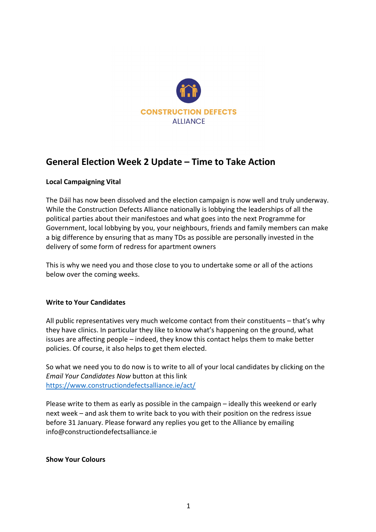

# **General Election Week 2 Update – Time to Take Action**

## **Local Campaigning Vital**

The Dáil has now been dissolved and the election campaign is now well and truly underway. While the Construction Defects Alliance nationally is lobbying the leaderships of all the political parties about their manifestoes and what goes into the next Programme for Government, local lobbying by you, your neighbours, friends and family members can make a big difference by ensuring that as many TDs as possible are personally invested in the delivery of some form of redress for apartment owners

This is why we need you and those close to you to undertake some or all of the actions below over the coming weeks.

#### **Write to Your Candidates**

All public representatives very much welcome contact from their constituents – that's why they have clinics. In particular they like to know what's happening on the ground, what issues are affecting people – indeed, they know this contact helps them to make better policies. Of course, it also helps to get them elected.

So what we need you to do now is to write to all of your local candidates by clicking on the *Email Your Candidates Now* button at this link https://www.constructiondefectsalliance.ie/act/

Please write to them as early as possible in the campaign – ideally this weekend or early next week – and ask them to write back to you with their position on the redress issue before 31 January. Please forward any replies you get to the Alliance by emailing info@constructiondefectsalliance.ie

#### **Show Your Colours**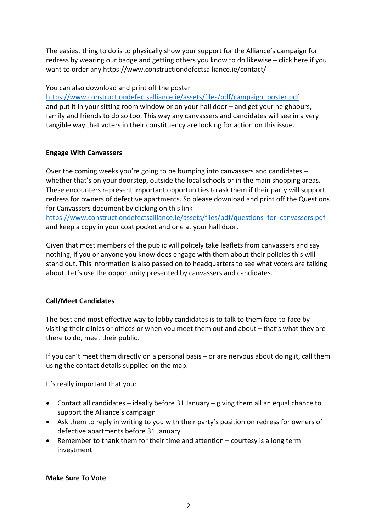The easiest thing to do is to physically show your support for the Alliance's campaign for redress by wearing our badge and getting others you know to do likewise – click here if you want to order any https://www.constructiondefectsalliance.ie/contact/

You can also download and print off the poster

https://www.constructiondefectsalliance.ie/assets/files/pdf/campaign\_poster.pdf and put it in your sitting room window or on your hall door – and get your neighbours, family and friends to do so too. This way any canvassers and candidates will see in a very tangible way that voters in their constituency are looking for action on this issue.

## **Engage With Canvassers**

Over the coming weeks you're going to be bumping into canvassers and candidates – whether that's on your doorstep, outside the local schools or in the main shopping areas. These encounters represent important opportunities to ask them if their party will support redress for owners of defective apartments. So please download and print off the Questions for Canvassers document by clicking on this link

https://www.constructiondefectsalliance.ie/assets/files/pdf/questions\_for\_canvassers.pdf and keep a copy in your coat pocket and one at your hall door.

Given that most members of the public will politely take leaflets from canvassers and say nothing, if you or anyone you know does engage with them about their policies this will stand out. This information is also passed on to headquarters to see what voters are talking about. Let's use the opportunity presented by canvassers and candidates.

# **Call/Meet Candidates**

The best and most effective way to lobby candidates is to talk to them face-to-face by visiting their clinics or offices or when you meet them out and about – that's what they are there to do, meet their public.

If you can't meet them directly on a personal basis – or are nervous about doing it, call them using the contact details supplied on the map.

It's really important that you:

- Contact all candidates ideally before 31 January giving them all an equal chance to support the Alliance's campaign
- Ask them to reply in writing to you with their party's position on redress for owners of defective apartments before 31 January
- Remember to thank them for their time and attention courtesy is a long term investment

## **Make Sure To Vote**